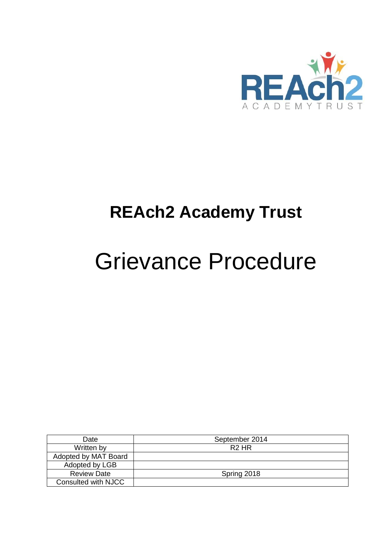

## **REAch2 Academy Trust**

# Grievance Procedure

| Date                 | September 2014    |
|----------------------|-------------------|
| Written by           | R <sub>2</sub> HR |
| Adopted by MAT Board |                   |
| Adopted by LGB       |                   |
| <b>Review Date</b>   | Spring 2018       |
| Consulted with NJCC  |                   |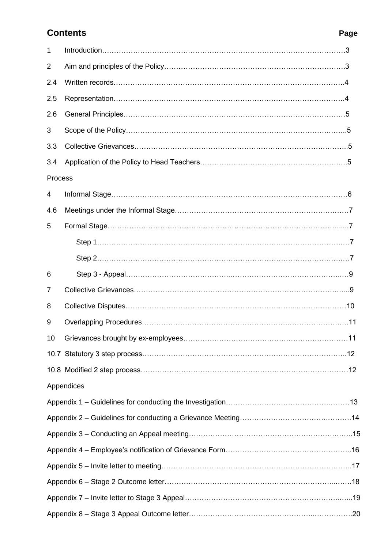## **Contents Page**

| 1       |            |
|---------|------------|
| 2       |            |
| 2.4     |            |
| 2.5     |            |
| 2.6     |            |
| 3       |            |
| 3.3     |            |
| 3.4     |            |
| Process |            |
| 4       |            |
| 4.6     |            |
| 5       |            |
|         |            |
|         |            |
| 6       |            |
| 7       |            |
| 8       |            |
| 9       |            |
| 10      |            |
|         |            |
|         |            |
|         | Appendices |
|         |            |
|         |            |
|         |            |
|         |            |
|         |            |
|         |            |
|         |            |
|         |            |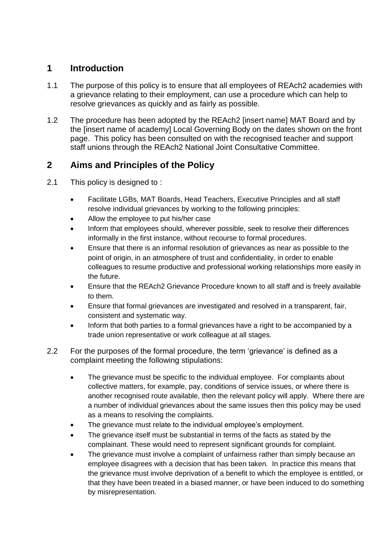## **1 Introduction**

- 1.1 The purpose of this policy is to ensure that all employees of REAch2 academies with a grievance relating to their employment, can use a procedure which can help to resolve grievances as quickly and as fairly as possible.
- 1.2 The procedure has been adopted by the REAch2 [insert name] MAT Board and by the [insert name of academy] Local Governing Body on the dates shown on the front page. This policy has been consulted on with the recognised teacher and support staff unions through the REAch2 National Joint Consultative Committee.

## **2 Aims and Principles of the Policy**

- 2.1 This policy is designed to:
	- Facilitate LGBs, MAT Boards, Head Teachers, Executive Principles and all staff resolve individual grievances by working to the following principles:
	- Allow the employee to put his/her case
	- Inform that employees should, wherever possible, seek to resolve their differences informally in the first instance, without recourse to formal procedures.
	- Ensure that there is an informal resolution of grievances as near as possible to the point of origin, in an atmosphere of trust and confidentiality, in order to enable colleagues to resume productive and professional working relationships more easily in the future.
	- Ensure that the REAch2 Grievance Procedure known to all staff and is freely available to them.
	- Ensure that formal grievances are investigated and resolved in a transparent, fair, consistent and systematic way.
	- Inform that both parties to a formal grievances have a right to be accompanied by a trade union representative or work colleague at all stages.
- 2.2 For the purposes of the formal procedure, the term 'grievance' is defined as a complaint meeting the following stipulations:
	- The grievance must be specific to the individual employee. For complaints about collective matters, for example, pay, conditions of service issues, or where there is another recognised route available, then the relevant policy will apply. Where there are a number of individual grievances about the same issues then this policy may be used as a means to resolving the complaints.
	- The grievance must relate to the individual employee's employment.
	- The grievance itself must be substantial in terms of the facts as stated by the complainant. These would need to represent significant grounds for complaint.
	- The grievance must involve a complaint of unfairness rather than simply because an employee disagrees with a decision that has been taken. In practice this means that the grievance must involve deprivation of a benefit to which the employee is entitled, or that they have been treated in a biased manner, or have been induced to do something by misrepresentation.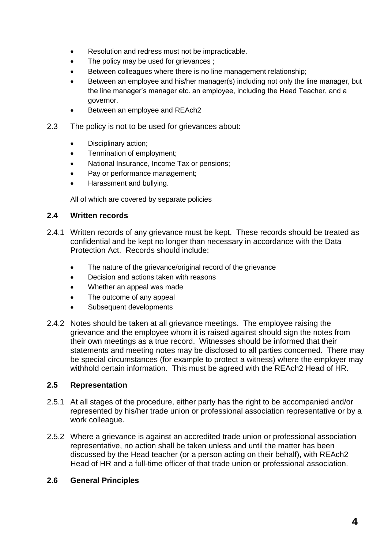- Resolution and redress must not be impracticable.
- The policy may be used for grievances ;
- Between colleagues where there is no line management relationship;
- Between an employee and his/her manager(s) including not only the line manager, but the line manager's manager etc. an employee, including the Head Teacher, and a governor.
- Between an employee and REAch2
- 2.3 The policy is not to be used for grievances about:
	- Disciplinary action;
	- Termination of employment;
	- National Insurance, Income Tax or pensions;
	- Pay or performance management;
	- Harassment and bullying.

All of which are covered by separate policies

#### **2.4 Written records**

- 2.4.1 Written records of any grievance must be kept. These records should be treated as confidential and be kept no longer than necessary in accordance with the Data Protection Act. Records should include:
	- The nature of the grievance/original record of the grievance
	- Decision and actions taken with reasons
	- Whether an appeal was made
	- The outcome of any appeal
	- Subsequent developments
- 2.4.2 Notes should be taken at all grievance meetings. The employee raising the grievance and the employee whom it is raised against should sign the notes from their own meetings as a true record. Witnesses should be informed that their statements and meeting notes may be disclosed to all parties concerned. There may be special circumstances (for example to protect a witness) where the employer may withhold certain information. This must be agreed with the REAch2 Head of HR.

#### **2.5 Representation**

- 2.5.1 At all stages of the procedure, either party has the right to be accompanied and/or represented by his/her trade union or professional association representative or by a work colleague.
- 2.5.2 Where a grievance is against an accredited trade union or professional association representative, no action shall be taken unless and until the matter has been discussed by the Head teacher (or a person acting on their behalf), with REAch2 Head of HR and a full-time officer of that trade union or professional association.

#### **2.6 General Principles**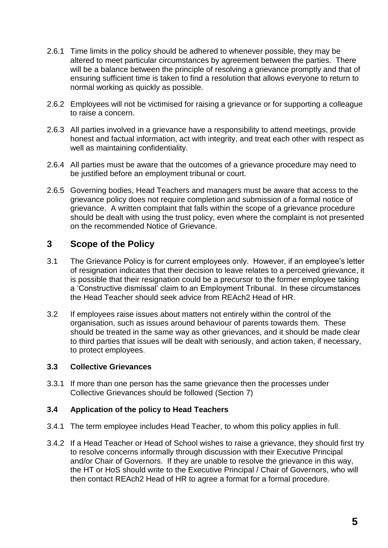- 2.6.1 Time limits in the policy should be adhered to whenever possible, they may be altered to meet particular circumstances by agreement between the parties. There will be a balance between the principle of resolving a grievance promptly and that of ensuring sufficient time is taken to find a resolution that allows everyone to return to normal working as quickly as possible.
- 2.6.2 Employees will not be victimised for raising a grievance or for supporting a colleague to raise a concern.
- 2.6.3 All parties involved in a grievance have a responsibility to attend meetings, provide honest and factual information, act with integrity, and treat each other with respect as well as maintaining confidentiality.
- 2.6.4 All parties must be aware that the outcomes of a grievance procedure may need to be justified before an employment tribunal or court.
- 2.6.5 Governing bodies, Head Teachers and managers must be aware that access to the grievance policy does not require completion and submission of a formal notice of grievance. A written complaint that falls within the scope of a grievance procedure should be dealt with using the trust policy, even where the complaint is not presented on the recommended Notice of Grievance.

#### **3 Scope of the Policy**

- 3.1 The Grievance Policy is for current employees only. However, if an employee's letter of resignation indicates that their decision to leave relates to a perceived grievance, it is possible that their resignation could be a precursor to the former employee taking a 'Constructive dismissal' claim to an Employment Tribunal. In these circumstances the Head Teacher should seek advice from REAch2 Head of HR.
- 3.2 If employees raise issues about matters not entirely within the control of the organisation, such as issues around behaviour of parents towards them. These should be treated in the same way as other grievances, and it should be made clear to third parties that issues will be dealt with seriously, and action taken, if necessary, to protect employees.

#### **3.3 Collective Grievances**

3.3.1 If more than one person has the same grievance then the processes under Collective Grievances should be followed (Section 7)

#### **3.4 Application of the policy to Head Teachers**

- 3.4.1 The term employee includes Head Teacher, to whom this policy applies in full.
- 3.4.2 If a Head Teacher or Head of School wishes to raise a grievance, they should first try to resolve concerns informally through discussion with their Executive Principal and/or Chair of Governors. If they are unable to resolve the grievance in this way, the HT or HoS should write to the Executive Principal / Chair of Governors, who will then contact REAch2 Head of HR to agree a format for a formal procedure.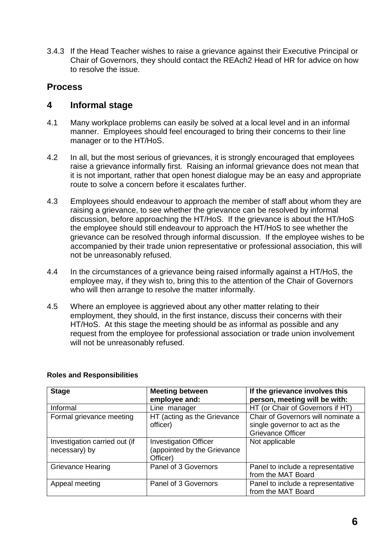3.4.3 If the Head Teacher wishes to raise a grievance against their Executive Principal or Chair of Governors, they should contact the REAch2 Head of HR for advice on how to resolve the issue.

#### **Process**

#### **4 Informal stage**

- 4.1 Many workplace problems can easily be solved at a local level and in an informal manner. Employees should feel encouraged to bring their concerns to their line manager or to the HT/HoS.
- 4.2 In all, but the most serious of grievances, it is strongly encouraged that employees raise a grievance informally first. Raising an informal grievance does not mean that it is not important, rather that open honest dialogue may be an easy and appropriate route to solve a concern before it escalates further.
- 4.3 Employees should endeavour to approach the member of staff about whom they are raising a grievance, to see whether the grievance can be resolved by informal discussion, before approaching the HT/HoS. If the grievance is about the HT/HoS the employee should still endeavour to approach the HT/HoS to see whether the grievance can be resolved through informal discussion. If the employee wishes to be accompanied by their trade union representative or professional association, this will not be unreasonably refused.
- 4.4 In the circumstances of a grievance being raised informally against a HT/HoS, the employee may, if they wish to, bring this to the attention of the Chair of Governors who will then arrange to resolve the matter informally.
- 4.5 Where an employee is aggrieved about any other matter relating to their employment, they should, in the first instance, discuss their concerns with their HT/HoS. At this stage the meeting should be as informal as possible and any request from the employee for professional association or trade union involvement will not be unreasonably refused.

| <b>Stage</b>                                   | <b>Meeting between</b><br>employee and:                                | If the grievance involves this<br>person, meeting will be with:                                 |
|------------------------------------------------|------------------------------------------------------------------------|-------------------------------------------------------------------------------------------------|
| Informal                                       | Line manager                                                           | HT (or Chair of Governors if HT)                                                                |
| Formal grievance meeting                       | HT (acting as the Grievance<br>officer)                                | Chair of Governors will nominate a<br>single governor to act as the<br><b>Grievance Officer</b> |
| Investigation carried out (if<br>necessary) by | <b>Investigation Officer</b><br>appointed by the Grievance<br>Officer) | Not applicable                                                                                  |
| <b>Grievance Hearing</b>                       | Panel of 3 Governors                                                   | Panel to include a representative<br>from the MAT Board                                         |
| Appeal meeting                                 | Panel of 3 Governors                                                   | Panel to include a representative<br>from the MAT Board                                         |

#### **Roles and Responsibilities**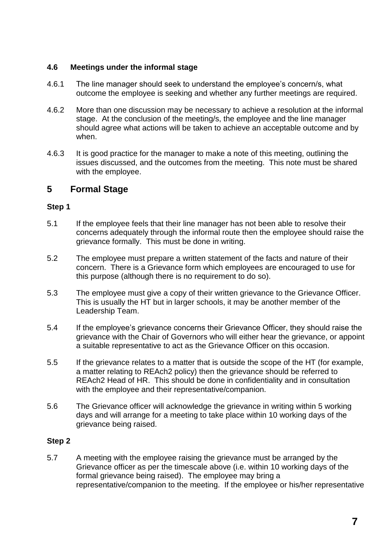#### **4.6 Meetings under the informal stage**

- 4.6.1 The line manager should seek to understand the employee's concern/s, what outcome the employee is seeking and whether any further meetings are required.
- 4.6.2 More than one discussion may be necessary to achieve a resolution at the informal stage. At the conclusion of the meeting/s, the employee and the line manager should agree what actions will be taken to achieve an acceptable outcome and by when.
- 4.6.3 It is good practice for the manager to make a note of this meeting, outlining the issues discussed, and the outcomes from the meeting. This note must be shared with the employee.

#### **5 Formal Stage**

#### **Step 1**

- 5.1 If the employee feels that their line manager has not been able to resolve their concerns adequately through the informal route then the employee should raise the grievance formally. This must be done in writing.
- 5.2 The employee must prepare a written statement of the facts and nature of their concern. There is a Grievance form which employees are encouraged to use for this purpose (although there is no requirement to do so).
- 5.3 The employee must give a copy of their written grievance to the Grievance Officer. This is usually the HT but in larger schools, it may be another member of the Leadership Team.
- 5.4 If the employee's grievance concerns their Grievance Officer, they should raise the grievance with the Chair of Governors who will either hear the grievance, or appoint a suitable representative to act as the Grievance Officer on this occasion.
- 5.5 If the grievance relates to a matter that is outside the scope of the HT (for example, a matter relating to REAch2 policy) then the grievance should be referred to REAch2 Head of HR. This should be done in confidentiality and in consultation with the employee and their representative/companion.
- 5.6 The Grievance officer will acknowledge the grievance in writing within 5 working days and will arrange for a meeting to take place within 10 working days of the grievance being raised.

#### **Step 2**

5.7 A meeting with the employee raising the grievance must be arranged by the Grievance officer as per the timescale above (i.e. within 10 working days of the formal grievance being raised). The employee may bring a representative/companion to the meeting. If the employee or his/her representative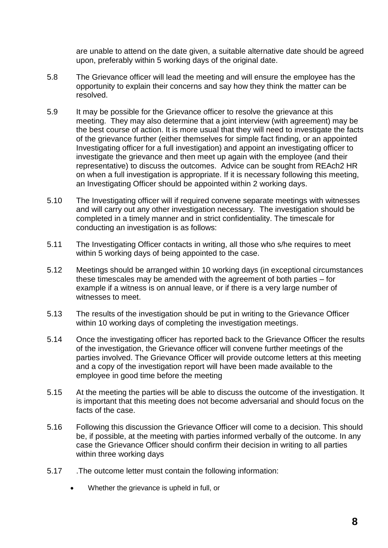are unable to attend on the date given, a suitable alternative date should be agreed upon, preferably within 5 working days of the original date.

- 5.8 The Grievance officer will lead the meeting and will ensure the employee has the opportunity to explain their concerns and say how they think the matter can be resolved.
- 5.9 It may be possible for the Grievance officer to resolve the grievance at this meeting. They may also determine that a joint interview (with agreement) may be the best course of action. It is more usual that they will need to investigate the facts of the grievance further (either themselves for simple fact finding, or an appointed Investigating officer for a full investigation) and appoint an investigating officer to investigate the grievance and then meet up again with the employee (and their representative) to discuss the outcomes. Advice can be sought from REAch2 HR on when a full investigation is appropriate. If it is necessary following this meeting, an Investigating Officer should be appointed within 2 working days.
- 5.10 The Investigating officer will if required convene separate meetings with witnesses and will carry out any other investigation necessary. The investigation should be completed in a timely manner and in strict confidentiality. The timescale for conducting an investigation is as follows:
- 5.11 The Investigating Officer contacts in writing, all those who s/he requires to meet within 5 working days of being appointed to the case.
- 5.12 Meetings should be arranged within 10 working days (in exceptional circumstances these timescales may be amended with the agreement of both parties – for example if a witness is on annual leave, or if there is a very large number of witnesses to meet.
- 5.13 The results of the investigation should be put in writing to the Grievance Officer within 10 working days of completing the investigation meetings.
- 5.14 Once the investigating officer has reported back to the Grievance Officer the results of the investigation, the Grievance officer will convene further meetings of the parties involved. The Grievance Officer will provide outcome letters at this meeting and a copy of the investigation report will have been made available to the employee in good time before the meeting
- 5.15 At the meeting the parties will be able to discuss the outcome of the investigation. It is important that this meeting does not become adversarial and should focus on the facts of the case.
- 5.16 Following this discussion the Grievance Officer will come to a decision. This should be, if possible, at the meeting with parties informed verbally of the outcome. In any case the Grievance Officer should confirm their decision in writing to all parties within three working days
- 5.17 .The outcome letter must contain the following information:
	- Whether the grievance is upheld in full, or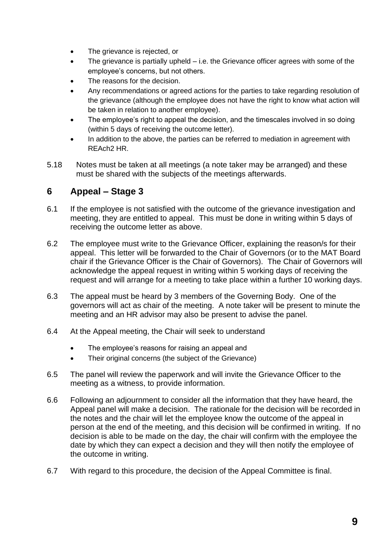- The grievance is rejected, or
- The grievance is partially upheld i.e. the Grievance officer agrees with some of the employee's concerns, but not others.
- The reasons for the decision.
- Any recommendations or agreed actions for the parties to take regarding resolution of the grievance (although the employee does not have the right to know what action will be taken in relation to another employee).
- The employee's right to appeal the decision, and the timescales involved in so doing (within 5 days of receiving the outcome letter).
- In addition to the above, the parties can be referred to mediation in agreement with REAch2 HR.
- 5.18 Notes must be taken at all meetings (a note taker may be arranged) and these must be shared with the subjects of the meetings afterwards.

## **6 Appeal – Stage 3**

- 6.1 If the employee is not satisfied with the outcome of the grievance investigation and meeting, they are entitled to appeal. This must be done in writing within 5 days of receiving the outcome letter as above.
- 6.2 The employee must write to the Grievance Officer, explaining the reason/s for their appeal. This letter will be forwarded to the Chair of Governors (or to the MAT Board chair if the Grievance Officer is the Chair of Governors). The Chair of Governors will acknowledge the appeal request in writing within 5 working days of receiving the request and will arrange for a meeting to take place within a further 10 working days.
- 6.3 The appeal must be heard by 3 members of the Governing Body. One of the governors will act as chair of the meeting. A note taker will be present to minute the meeting and an HR advisor may also be present to advise the panel.
- 6.4 At the Appeal meeting, the Chair will seek to understand
	- The employee's reasons for raising an appeal and
	- Their original concerns (the subject of the Grievance)
- 6.5 The panel will review the paperwork and will invite the Grievance Officer to the meeting as a witness, to provide information.
- 6.6 Following an adjournment to consider all the information that they have heard, the Appeal panel will make a decision. The rationale for the decision will be recorded in the notes and the chair will let the employee know the outcome of the appeal in person at the end of the meeting, and this decision will be confirmed in writing. If no decision is able to be made on the day, the chair will confirm with the employee the date by which they can expect a decision and they will then notify the employee of the outcome in writing.
- 6.7 With regard to this procedure, the decision of the Appeal Committee is final.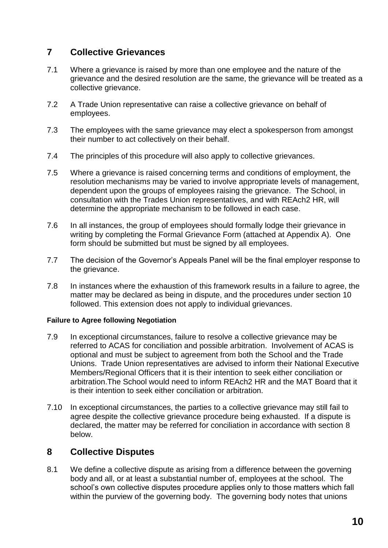## **7 Collective Grievances**

- 7.1 Where a grievance is raised by more than one employee and the nature of the grievance and the desired resolution are the same, the grievance will be treated as a collective grievance.
- 7.2 A Trade Union representative can raise a collective grievance on behalf of employees.
- 7.3 The employees with the same grievance may elect a spokesperson from amongst their number to act collectively on their behalf.
- 7.4 The principles of this procedure will also apply to collective grievances.
- 7.5 Where a grievance is raised concerning terms and conditions of employment, the resolution mechanisms may be varied to involve appropriate levels of management, dependent upon the groups of employees raising the grievance. The School, in consultation with the Trades Union representatives, and with REAch2 HR, will determine the appropriate mechanism to be followed in each case.
- 7.6 In all instances, the group of employees should formally lodge their grievance in writing by completing the Formal Grievance Form (attached at Appendix A). One form should be submitted but must be signed by all employees.
- 7.7 The decision of the Governor's Appeals Panel will be the final employer response to the grievance.
- 7.8 In instances where the exhaustion of this framework results in a failure to agree, the matter may be declared as being in dispute, and the procedures under section 10 followed. This extension does not apply to individual grievances.

#### **Failure to Agree following Negotiation**

- 7.9 In exceptional circumstances, failure to resolve a collective grievance may be referred to ACAS for conciliation and possible arbitration. Involvement of ACAS is optional and must be subject to agreement from both the School and the Trade Unions. Trade Union representatives are advised to inform their National Executive Members/Regional Officers that it is their intention to seek either conciliation or arbitration.The School would need to inform REAch2 HR and the MAT Board that it is their intention to seek either conciliation or arbitration.
- 7.10 In exceptional circumstances, the parties to a collective grievance may still fail to agree despite the collective grievance procedure being exhausted. If a dispute is declared, the matter may be referred for conciliation in accordance with section 8 below.

#### **8 Collective Disputes**

8.1 We define a collective dispute as arising from a difference between the governing body and all, or at least a substantial number of, employees at the school. The school's own collective disputes procedure applies only to those matters which fall within the purview of the governing body. The governing body notes that unions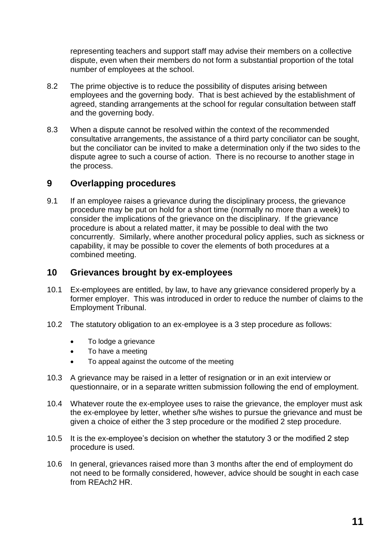representing teachers and support staff may advise their members on a collective dispute, even when their members do not form a substantial proportion of the total number of employees at the school.

- 8.2 The prime objective is to reduce the possibility of disputes arising between employees and the governing body. That is best achieved by the establishment of agreed, standing arrangements at the school for regular consultation between staff and the governing body.
- 8.3 When a dispute cannot be resolved within the context of the recommended consultative arrangements, the assistance of a third party conciliator can be sought, but the conciliator can be invited to make a determination only if the two sides to the dispute agree to such a course of action. There is no recourse to another stage in the process.

#### **9 Overlapping procedures**

9.1 If an employee raises a grievance during the disciplinary process, the grievance procedure may be put on hold for a short time (normally no more than a week) to consider the implications of the grievance on the disciplinary. If the grievance procedure is about a related matter, it may be possible to deal with the two concurrently. Similarly, where another procedural policy applies, such as sickness or capability, it may be possible to cover the elements of both procedures at a combined meeting.

#### **10 Grievances brought by ex-employees**

- 10.1 Ex-employees are entitled, by law, to have any grievance considered properly by a former employer. This was introduced in order to reduce the number of claims to the Employment Tribunal.
- 10.2 The statutory obligation to an ex-employee is a 3 step procedure as follows:
	- To lodge a grievance
	- To have a meeting
	- To appeal against the outcome of the meeting
- 10.3 A grievance may be raised in a letter of resignation or in an exit interview or questionnaire, or in a separate written submission following the end of employment.
- 10.4 Whatever route the ex-employee uses to raise the grievance, the employer must ask the ex-employee by letter, whether s/he wishes to pursue the grievance and must be given a choice of either the 3 step procedure or the modified 2 step procedure.
- 10.5 It is the ex-employee's decision on whether the statutory 3 or the modified 2 step procedure is used.
- 10.6 In general, grievances raised more than 3 months after the end of employment do not need to be formally considered, however, advice should be sought in each case from REAch2 HR.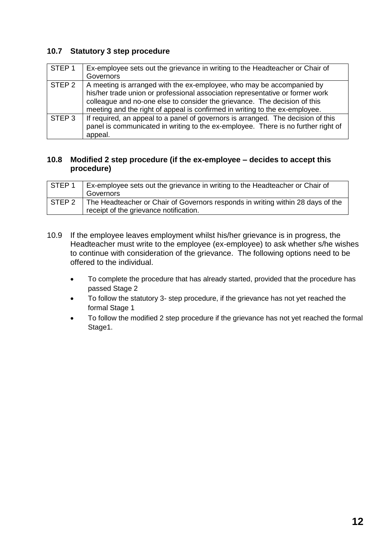#### **10.7 Statutory 3 step procedure**

| STEP <sub>1</sub> | Ex-employee sets out the grievance in writing to the Headteacher or Chair of      |
|-------------------|-----------------------------------------------------------------------------------|
|                   | Governors                                                                         |
| STEP 2            | A meeting is arranged with the ex-employee, who may be accompanied by             |
|                   | his/her trade union or professional association representative or former work     |
|                   | colleague and no-one else to consider the grievance. The decision of this         |
|                   | meeting and the right of appeal is confirmed in writing to the ex-employee.       |
| STEP <sub>3</sub> | If required, an appeal to a panel of governors is arranged. The decision of this  |
|                   | panel is communicated in writing to the ex-employee. There is no further right of |
|                   | appeal.                                                                           |

#### **10.8 Modified 2 step procedure (if the ex-employee – decides to accept this procedure)**

| STEP <sub>1</sub> | Ex-employee sets out the grievance in writing to the Headteacher or Chair of<br>Governors                                 |
|-------------------|---------------------------------------------------------------------------------------------------------------------------|
| STEP 2            | The Headteacher or Chair of Governors responds in writing within 28 days of the<br>receipt of the grievance notification. |

- 10.9 If the employee leaves employment whilst his/her grievance is in progress, the Headteacher must write to the employee (ex-employee) to ask whether s/he wishes to continue with consideration of the grievance. The following options need to be offered to the individual.
	- To complete the procedure that has already started, provided that the procedure has passed Stage 2
	- To follow the statutory 3- step procedure, if the grievance has not yet reached the formal Stage 1
	- To follow the modified 2 step procedure if the grievance has not yet reached the formal Stage1.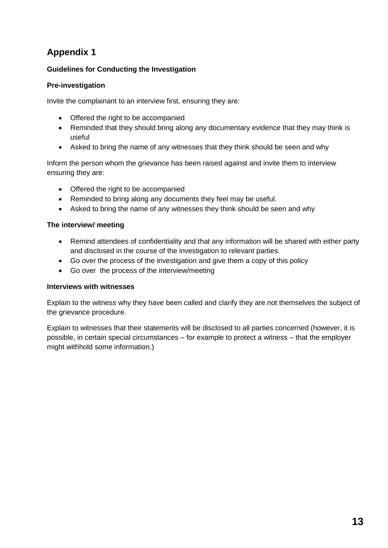#### **Guidelines for Conducting the Investigation**

#### **Pre-investigation**

Invite the complainant to an interview first, ensuring they are:

- Offered the right to be accompanied
- Reminded that they should bring along any documentary evidence that they may think is useful
- Asked to bring the name of any witnesses that they think should be seen and why

Inform the person whom the grievance has been raised against and invite them to interview ensuring they are:

- Offered the right to be accompanied
- Reminded to bring along any documents they feel may be useful.
- Asked to bring the name of any witnesses they think should be seen and why

#### **The interview/ meeting**

- Remind attendees of confidentiality and that any information will be shared with either party and disclosed in the course of the investigation to relevant parties.
- Go over the process of the investigation and give them a copy of this policy
- Go over the process of the interview/meeting

#### **Interviews with witnesses**

Explain to the witness why they have been called and clarify they are not themselves the subject of the grievance procedure.

Explain to witnesses that their statements will be disclosed to all parties concerned (however, it is possible, in certain special circumstances – for example to protect a witness – that the employer might withhold some information.)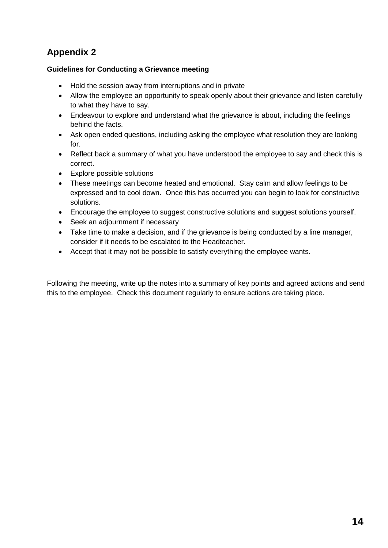#### **Guidelines for Conducting a Grievance meeting**

- Hold the session away from interruptions and in private
- Allow the employee an opportunity to speak openly about their grievance and listen carefully to what they have to say.
- Endeavour to explore and understand what the grievance is about, including the feelings behind the facts.
- Ask open ended questions, including asking the employee what resolution they are looking for.
- Reflect back a summary of what you have understood the employee to say and check this is correct.
- Explore possible solutions
- These meetings can become heated and emotional. Stay calm and allow feelings to be expressed and to cool down. Once this has occurred you can begin to look for constructive solutions.
- Encourage the employee to suggest constructive solutions and suggest solutions yourself.
- Seek an adjournment if necessary
- Take time to make a decision, and if the grievance is being conducted by a line manager, consider if it needs to be escalated to the Headteacher.
- Accept that it may not be possible to satisfy everything the employee wants.

Following the meeting, write up the notes into a summary of key points and agreed actions and send this to the employee. Check this document regularly to ensure actions are taking place.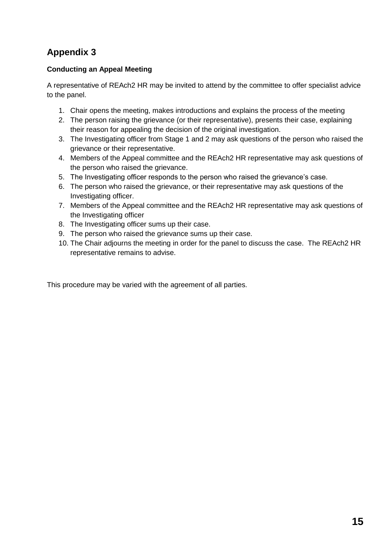#### **Conducting an Appeal Meeting**

A representative of REAch2 HR may be invited to attend by the committee to offer specialist advice to the panel.

- 1. Chair opens the meeting, makes introductions and explains the process of the meeting
- 2. The person raising the grievance (or their representative), presents their case, explaining their reason for appealing the decision of the original investigation.
- 3. The Investigating officer from Stage 1 and 2 may ask questions of the person who raised the grievance or their representative.
- 4. Members of the Appeal committee and the REAch2 HR representative may ask questions of the person who raised the grievance.
- 5. The Investigating officer responds to the person who raised the grievance's case.
- 6. The person who raised the grievance, or their representative may ask questions of the Investigating officer.
- 7. Members of the Appeal committee and the REAch2 HR representative may ask questions of the Investigating officer
- 8. The Investigating officer sums up their case.
- 9. The person who raised the grievance sums up their case.
- 10. The Chair adjourns the meeting in order for the panel to discuss the case. The REAch2 HR representative remains to advise.

This procedure may be varied with the agreement of all parties.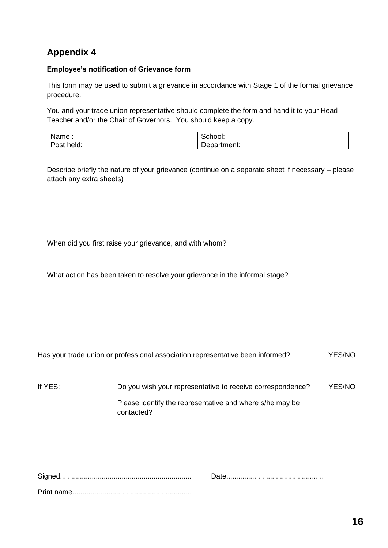#### **Employee's notification of Grievance form**

This form may be used to submit a grievance in accordance with Stage 1 of the formal grievance procedure.

You and your trade union representative should complete the form and hand it to your Head Teacher and/or the Chair of Governors. You should keep a copy.

| Name.       | -<br>ט וטטו.            |
|-------------|-------------------------|
| held:<br>אי | -<br>.<br>ner<br>.<br>∽ |

Describe briefly the nature of your grievance (continue on a separate sheet if necessary – please attach any extra sheets)

When did you first raise your grievance, and with whom?

What action has been taken to resolve your grievance in the informal stage?

| If YES: | Do you wish your representative to receive correspondence?             | YES/NO |
|---------|------------------------------------------------------------------------|--------|
|         | Please identify the representative and where s/he may be<br>contacted? |        |

Has your trade union or professional association representative been informed? YES/NO

Signed.................................................................. Date................................................. Print name............................................................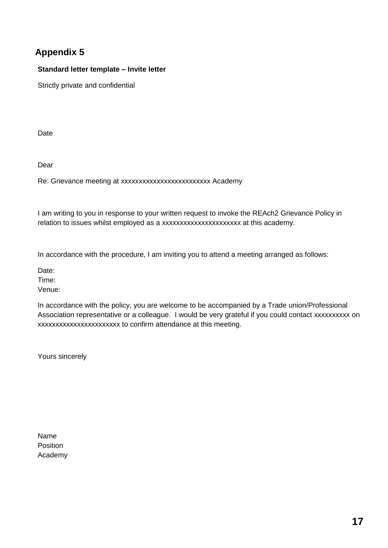#### **Standard letter template – Invite letter**

Strictly private and confidential

**Date** 

Dear

Re: Grievance meeting at xxxxxxxxxxxxxxxxxxxxxxxxx Academy

I am writing to you in response to your written request to invoke the REAch2 Grievance Policy in relation to issues whilst employed as a xxxxxxxxxxxxxxxxxxxxx at this academy.

In accordance with the procedure, I am inviting you to attend a meeting arranged as follows:

Date:

Time:

Venue:

In accordance with the policy, you are welcome to be accompanied by a Trade union/Professional Association representative or a colleague. I would be very grateful if you could contact xxxxxxxxx on xxxxxxxxxxxxxxxxxxxxxxx to confirm attendance at this meeting.

Yours sincerely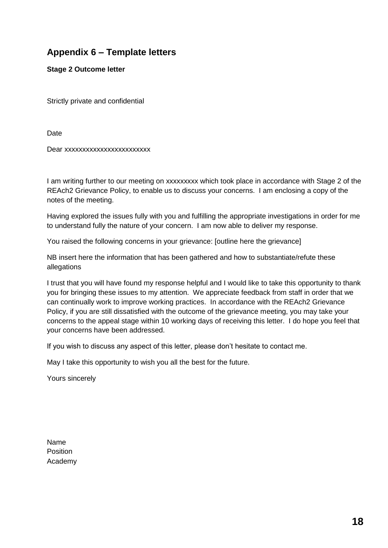## **Appendix 6 – Template letters**

**Stage 2 Outcome letter**

Strictly private and confidential

**Date** 

Dear xxxxxxxxxxxxxxxxxxxxxxxx

I am writing further to our meeting on xxxxxxxxx which took place in accordance with Stage 2 of the REAch2 Grievance Policy, to enable us to discuss your concerns. I am enclosing a copy of the notes of the meeting.

Having explored the issues fully with you and fulfilling the appropriate investigations in order for me to understand fully the nature of your concern. I am now able to deliver my response.

You raised the following concerns in your grievance: [outline here the grievance]

NB insert here the information that has been gathered and how to substantiate/refute these allegations

I trust that you will have found my response helpful and I would like to take this opportunity to thank you for bringing these issues to my attention. We appreciate feedback from staff in order that we can continually work to improve working practices. In accordance with the REAch2 Grievance Policy, if you are still dissatisfied with the outcome of the grievance meeting, you may take your concerns to the appeal stage within 10 working days of receiving this letter. I do hope you feel that your concerns have been addressed.

If you wish to discuss any aspect of this letter, please don't hesitate to contact me.

May I take this opportunity to wish you all the best for the future.

Yours sincerely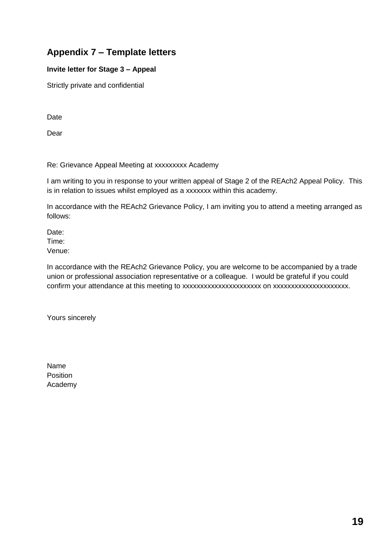## **Appendix 7 – Template letters**

#### **Invite letter for Stage 3 – Appeal**

Strictly private and confidential

Date

Dear

Re: Grievance Appeal Meeting at xxxxxxxxx Academy

I am writing to you in response to your written appeal of Stage 2 of the REAch2 Appeal Policy. This is in relation to issues whilst employed as a xxxxxxx within this academy.

In accordance with the REAch2 Grievance Policy, I am inviting you to attend a meeting arranged as follows:

Date: Time: Venue:

In accordance with the REAch2 Grievance Policy, you are welcome to be accompanied by a trade union or professional association representative or a colleague. I would be grateful if you could confirm your attendance at this meeting to xxxxxxxxxxxxxxxxxxxxxx on xxxxxxxxxxxxxxxxxxxxx.

Yours sincerely